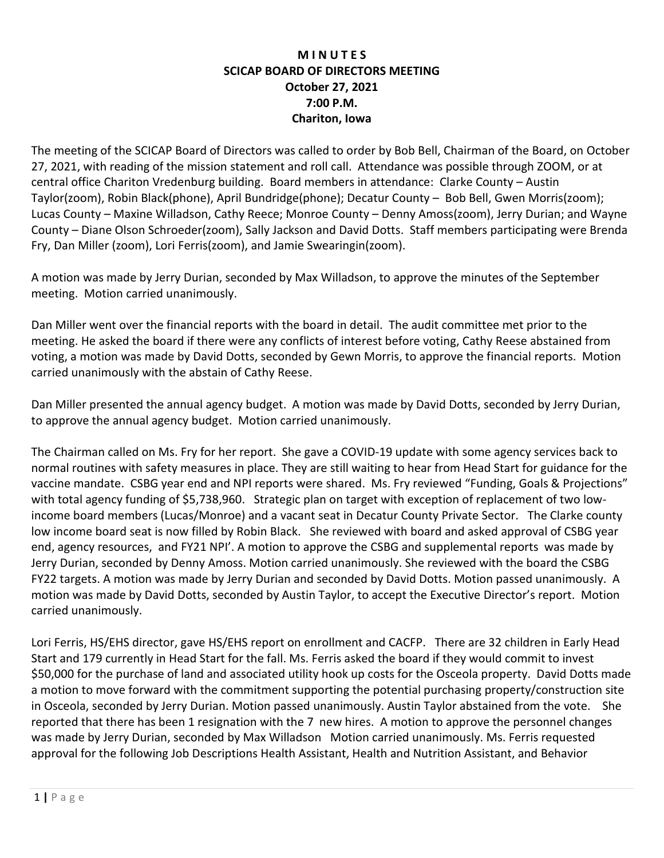## **M I N U T E S SCICAP BOARD OF DIRECTORS MEETING October 27, 2021 7:00 P.M. Chariton, Iowa**

The meeting of the SCICAP Board of Directors was called to order by Bob Bell, Chairman of the Board, on October 27, 2021, with reading of the mission statement and roll call. Attendance was possible through ZOOM, or at central office Chariton Vredenburg building. Board members in attendance: Clarke County – Austin Taylor(zoom), Robin Black(phone), April Bundridge(phone); Decatur County – Bob Bell, Gwen Morris(zoom); Lucas County – Maxine Willadson, Cathy Reece; Monroe County – Denny Amoss(zoom), Jerry Durian; and Wayne County – Diane Olson Schroeder(zoom), Sally Jackson and David Dotts. Staff members participating were Brenda Fry, Dan Miller (zoom), Lori Ferris(zoom), and Jamie Swearingin(zoom).

A motion was made by Jerry Durian, seconded by Max Willadson, to approve the minutes of the September meeting. Motion carried unanimously.

Dan Miller went over the financial reports with the board in detail. The audit committee met prior to the meeting. He asked the board if there were any conflicts of interest before voting, Cathy Reese abstained from voting, a motion was made by David Dotts, seconded by Gewn Morris, to approve the financial reports. Motion carried unanimously with the abstain of Cathy Reese.

Dan Miller presented the annual agency budget. A motion was made by David Dotts, seconded by Jerry Durian, to approve the annual agency budget. Motion carried unanimously.

The Chairman called on Ms. Fry for her report. She gave a COVID-19 update with some agency services back to normal routines with safety measures in place. They are still waiting to hear from Head Start for guidance for the vaccine mandate. CSBG year end and NPI reports were shared. Ms. Fry reviewed "Funding, Goals & Projections" with total agency funding of \$5,738,960. Strategic plan on target with exception of replacement of two lowincome board members (Lucas/Monroe) and a vacant seat in Decatur County Private Sector. The Clarke county low income board seat is now filled by Robin Black. She reviewed with board and asked approval of CSBG year end, agency resources, and FY21 NPI'. A motion to approve the CSBG and supplemental reports was made by Jerry Durian, seconded by Denny Amoss. Motion carried unanimously. She reviewed with the board the CSBG FY22 targets. A motion was made by Jerry Durian and seconded by David Dotts. Motion passed unanimously. A motion was made by David Dotts, seconded by Austin Taylor, to accept the Executive Director's report. Motion carried unanimously.

Lori Ferris, HS/EHS director, gave HS/EHS report on enrollment and CACFP. There are 32 children in Early Head Start and 179 currently in Head Start for the fall. Ms. Ferris asked the board if they would commit to invest \$50,000 for the purchase of land and associated utility hook up costs for the Osceola property. David Dotts made a motion to move forward with the commitment supporting the potential purchasing property/construction site in Osceola, seconded by Jerry Durian. Motion passed unanimously. Austin Taylor abstained from the vote. She reported that there has been 1 resignation with the 7 new hires. A motion to approve the personnel changes was made by Jerry Durian, seconded by Max Willadson Motion carried unanimously. Ms. Ferris requested approval for the following Job Descriptions Health Assistant, Health and Nutrition Assistant, and Behavior